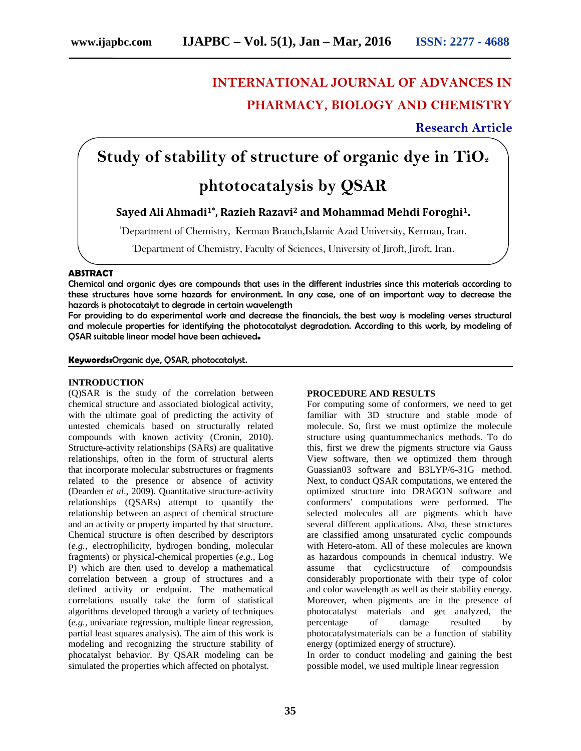### **INTERNATIONAL JOURNAL OF ADVANCES IN PHARMACY, BIOLOGY AND CHEMISTRY**

**Research Article**

# **Study of stability of structure of organic dye in TiO<sup>2</sup>**

## **phtotocatalysis by QSAR**

**Sayed Ali Ahmadi1\*, Razieh Razavi<sup>2</sup> and Mohammad Mehdi Foroghi1.**

<sup>1</sup>Department of Chemistry, Kerman Branch,Islamic Azad University, Kerman, Iran.

2Department of Chemistry, Faculty of Sciences, University of Jiroft, Jiroft, Iran.

#### **ABSTRACT**

Chemical and organic dyes are compounds that uses in the different industries since this materials according to these structures have some hazards for environment. In any case, one of an important way to decrease the hazards is photocatalyt to degrade in certain wavelength

For providing to do experimental work and decrease the financials, the best way is modeling verses structural and molecule properties for identifying the photocatalyst degradation. According to this work, by modeling of QSAR suitable linear model have been achieved**.**

**Keywords:**Organic dye, QSAR, photocatalyst.

#### **INTRODUCTION**

(Q)SAR is the study of the correlation between chemical structure and associated biological activity, with the ultimate goal of predicting the activity of untested chemicals based on structurally related compounds with known activity (Cronin, 2010). Structure-activity relationships (SARs) are qualitative relationships, often in the form of structural alerts that incorporate molecular substructures or fragments related to the presence or absence of activity (Dearden *et al*., 2009). Quantitative structure-activity relationships (QSARs) attempt to quantify the relationship between an aspect of chemical structure and an activity or property imparted by that structure. Chemical structure is often described by descriptors (*e.g.,* electrophilicity, hydrogen bonding, molecular fragments) or physical-chemical properties (*e.g.,* Log P) which are then used to develop a mathematical correlation between a group of structures and a defined activity or endpoint. The mathematical correlations usually take the form of statistical algorithms developed through a variety of techniques (*e.g.,* univariate regression, multiple linear regression, partial least squares analysis). The aim of this work is modeling and recognizing the structure stability of phocatalyst behavior. By QSAR modeling can be simulated the properties which affected on photalyst.

#### **PROCEDURE AND RESULTS**

For computing some of conformers, we need to get familiar with 3D structure and stable mode of molecule. So, first we must optimize the molecule structure using quantummechanics methods. To do this, first we drew the pigments structure via Gauss View software, then we optimized them through Guassian03 software and B3LYP/6-31G method. Next, to conduct QSAR computations, we entered the optimized structure into DRAGON software and conformers' computations were performed. The selected molecules all are pigments which have several different applications. Also, these structures are classified among unsaturated cyclic compounds with Hetero-atom. All of these molecules are known as hazardous compounds in chemical industry. We assume that cyclicstructure of compoundsis considerably proportionate with their type of color and color wavelength as well as their stability energy. Moreover, when pigments are in the presence of photocatalyst materials and get analyzed, the percentage of damage resulted by photocatalystmaterials can be a function of stability energy (optimized energy of structure).

In order to conduct modeling and gaining the best possible model, we used multiple linear regression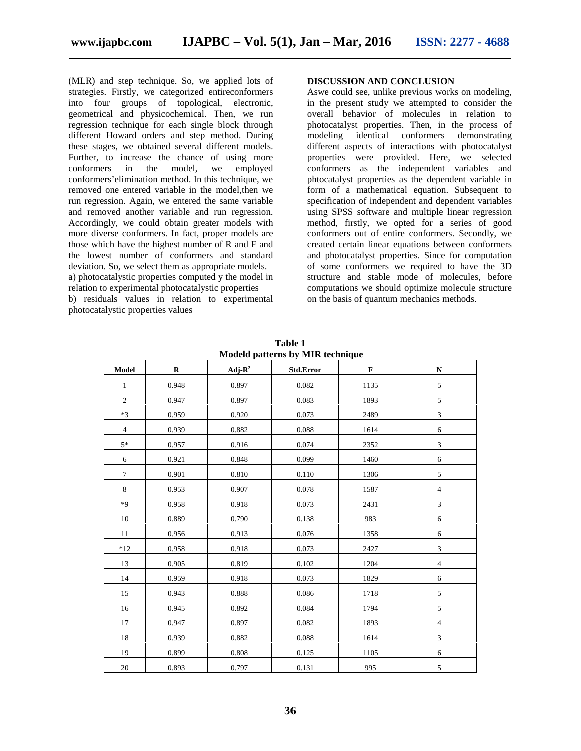(MLR) and step technique. So, we applied lots of strategies. Firstly, we categorized entireconformers into four groups of topological, electronic, geometrical and physicochemical. Then, we run regression technique for each single block through different Howard orders and step method. During these stages, we obtained several different models. Further, to increase the chance of using more conformers in the model, we employed conformers'elimination method. In this technique, we removed one entered variable in the model,then we run regression. Again, we entered the same variable and removed another variable and run regression. Accordingly, we could obtain greater models with more diverse conformers. In fact, proper models are those which have the highest number of R and F and the lowest number of conformers and standard deviation. So, we select them as appropriate models. a) photocatalystic properties computed y the model in relation to experimental photocatalystic properties b) residuals values in relation to experimental photocatalystic properties values

#### **DISCUSSION AND CONCLUSION**

Aswe could see, unlike previous works on modeling, in the present study we attempted to consider the overall behavior of molecules in relation to photocatalyst properties. Then, in the process of modeling identical conformers demonstrating different aspects of interactions with photocatalyst properties were provided. Here, we selected conformers as the independent variables and phtocatalyst properties as the dependent variable in form of a mathematical equation. Subsequent to specification of independent and dependent variables using SPSS software and multiple linear regression method, firstly, we opted for a series of good conformers out of entire conformers. Secondly, we created certain linear equations between conformers and photocatalyst properties. Since for computation of some conformers we required to have the 3D structure and stable mode of molecules, before computations we should optimize molecule structure on the basis of quantum mechanics methods.

| <b>NOUTED DATE:</b> IS BY MITS LECTRONIC |             |                     |             |             |                             |
|------------------------------------------|-------------|---------------------|-------------|-------------|-----------------------------|
| Model                                    | $\mathbf R$ | Adj- $\mathbf{R}^2$ | Std.Error   | $\mathbf F$ | ${\bf N}$                   |
| $\mathbf{1}$                             | 0.948       | 0.897               | 0.082       | 1135        | 5                           |
| $\overline{c}$                           | 0.947       | 0.897               | 0.083       | 1893        | 5                           |
| $*3$                                     | 0.959       | 0.920               | 0.073       | 2489        | $\sqrt{3}$                  |
| $\overline{4}$                           | 0.939       | 0.882               | 0.088       | 1614        | $\sqrt{6}$                  |
| $5*$                                     | 0.957       | 0.916               | 0.074       | 2352        | $\sqrt{3}$                  |
| $\sqrt{6}$                               | 0.921       | 0.848               | 0.099       | 1460        | $\sqrt{6}$                  |
| $\tau$                                   | 0.901       | 0.810               | 0.110       | 1306        | $\sqrt{5}$                  |
| 8                                        | 0.953       | 0.907               | 0.078       | 1587        | $\overline{4}$              |
| $*9$                                     | 0.958       | 0.918               | 0.073       | 2431        | $\sqrt{3}$                  |
| 10                                       | 0.889       | 0.790               | 0.138       | 983         | $\sqrt{6}$                  |
| 11                                       | 0.956       | 0.913               | 0.076       | 1358        | $\sqrt{6}$                  |
| $*12$                                    | 0.958       | 0.918               | 0.073       | 2427        | $\ensuremath{\mathfrak{Z}}$ |
| 13                                       | 0.905       | 0.819               | 0.102       | 1204        | $\overline{4}$              |
| 14                                       | 0.959       | 0.918               | 0.073       | 1829        | $\sqrt{6}$                  |
| 15                                       | 0.943       | 0.888               | 0.086       | 1718        | $\sqrt{5}$                  |
| 16                                       | 0.945       | 0.892               | 0.084       | 1794        | 5                           |
| 17                                       | 0.947       | 0.897               | 0.082       | 1893        | $\overline{4}$              |
| 18                                       | 0.939       | 0.882               | $\,0.088\,$ | 1614        | $\ensuremath{\mathfrak{Z}}$ |
| 19                                       | 0.899       | 0.808               | 0.125       | 1105        | $\sqrt{6}$                  |
| $20\,$                                   | 0.893       | 0.797               | 0.131       | 995         | 5                           |

**Table 1 Modeld patterns by MIR technique**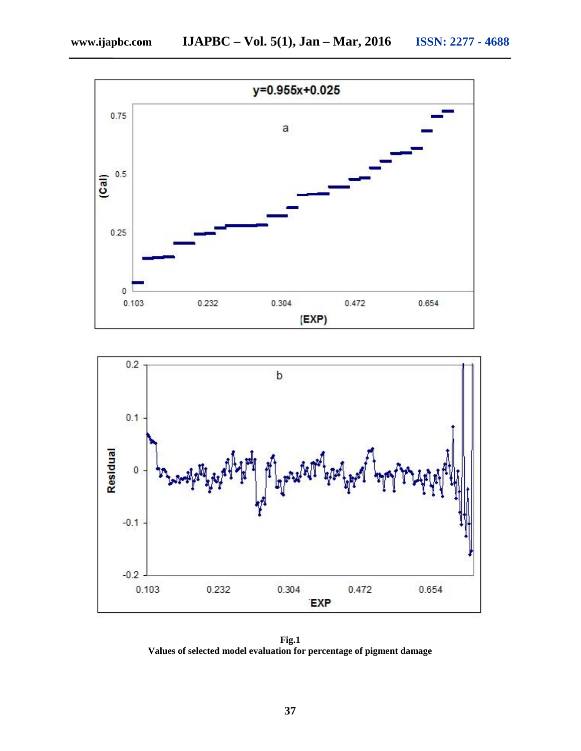



**Fig.1 Values of selected model evaluation for percentage of pigment damage**